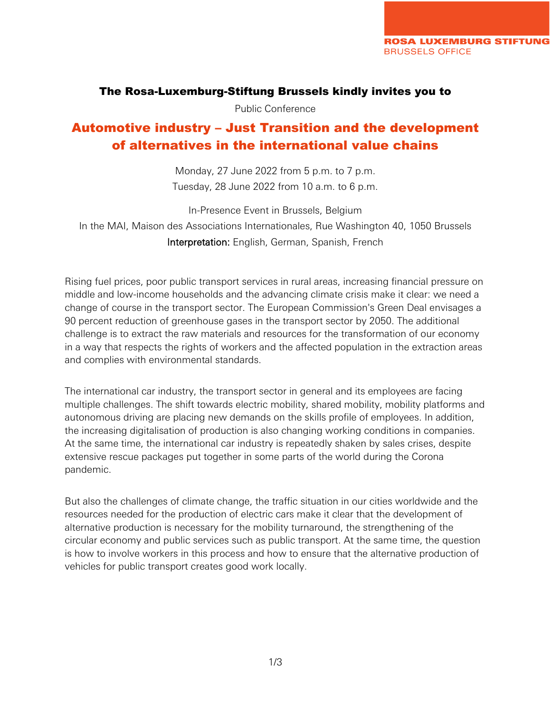#### The Rosa-Luxemburg-Stiftung Brussels kindly invites you to

Public Conference

# Automotive industry – Just Transition and the development of alternatives in the international value chains

Monday, 27 June 2022 from 5 p.m. to 7 p.m. Tuesday, 28 June 2022 from 10 a.m. to 6 p.m.

In-Presence Event in Brussels, Belgium In the MAI, Maison des Associations Internationales, Rue Washington 40, 1050 Brussels Interpretation: English, German, Spanish, French

Rising fuel prices, poor public transport services in rural areas, increasing financial pressure on middle and low-income households and the advancing climate crisis make it clear: we need a change of course in the transport sector. The European Commission's Green Deal envisages a 90 percent reduction of greenhouse gases in the transport sector by 2050. The additional challenge is to extract the raw materials and resources for the transformation of our economy in a way that respects the rights of workers and the affected population in the extraction areas and complies with environmental standards.

The international car industry, the transport sector in general and its employees are facing multiple challenges. The shift towards electric mobility, shared mobility, mobility platforms and autonomous driving are placing new demands on the skills profile of employees. In addition, the increasing digitalisation of production is also changing working conditions in companies. At the same time, the international car industry is repeatedly shaken by sales crises, despite extensive rescue packages put together in some parts of the world during the Corona pandemic.

But also the challenges of climate change, the traffic situation in our cities worldwide and the resources needed for the production of electric cars make it clear that the development of alternative production is necessary for the mobility turnaround, the strengthening of the circular economy and public services such as public transport. At the same time, the question is how to involve workers in this process and how to ensure that the alternative production of vehicles for public transport creates good work locally.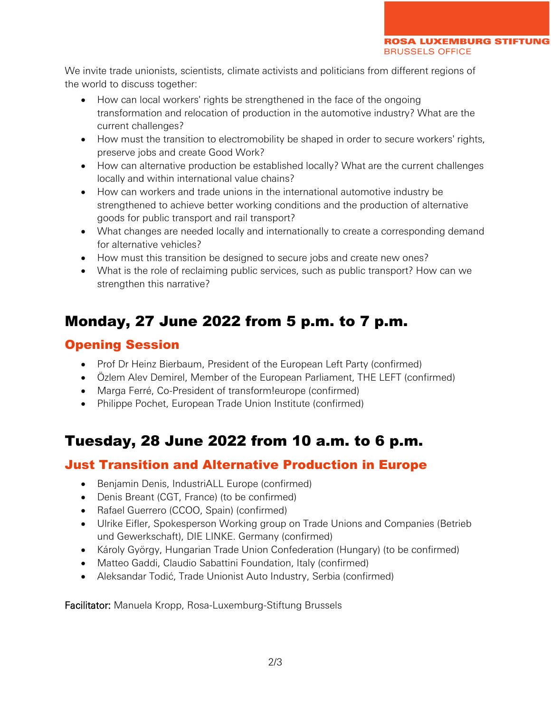We invite trade unionists, scientists, climate activists and politicians from different regions of the world to discuss together:

- How can local workers' rights be strengthened in the face of the ongoing transformation and relocation of production in the automotive industry? What are the current challenges?
- How must the transition to electromobility be shaped in order to secure workers' rights, preserve jobs and create Good Work?
- How can alternative production be established locally? What are the current challenges locally and within international value chains?
- How can workers and trade unions in the international automotive industry be strengthened to achieve better working conditions and the production of alternative goods for public transport and rail transport?
- What changes are needed locally and internationally to create a corresponding demand for alternative vehicles?
- How must this transition be designed to secure jobs and create new ones?
- What is the role of reclaiming public services, such as public transport? How can we strengthen this narrative?

# Monday, 27 June 2022 from 5 p.m. to 7 p.m.

## Opening Session

- Prof Dr Heinz Bierbaum, President of the European Left Party (confirmed)
- Özlem Alev Demirel, Member of the European Parliament, THE LEFT (confirmed)
- Marga Ferré, Co-President of transform!europe (confirmed)
- Philippe Pochet, European Trade Union Institute (confirmed)

# Tuesday, 28 June 2022 from 10 a.m. to 6 p.m.

## Just Transition and Alternative Production in Europe

- Benjamin Denis, IndustriALL Europe (confirmed)
- Denis Breant (CGT, France) (to be confirmed)
- Rafael Guerrero (CCOO, Spain) (confirmed)
- Ulrike Eifler, Spokesperson Working group on Trade Unions and Companies (Betrieb und Gewerkschaft), DIE LINKE. Germany (confirmed)
- Károly György, Hungarian Trade Union Confederation (Hungary) (to be confirmed)
- Matteo Gaddi, Claudio Sabattini Foundation, Italy (confirmed)
- Aleksandar Todić, Trade Unionist Auto Industry, Serbia (confirmed)

Facilitator: Manuela Kropp, Rosa-Luxemburg-Stiftung Brussels